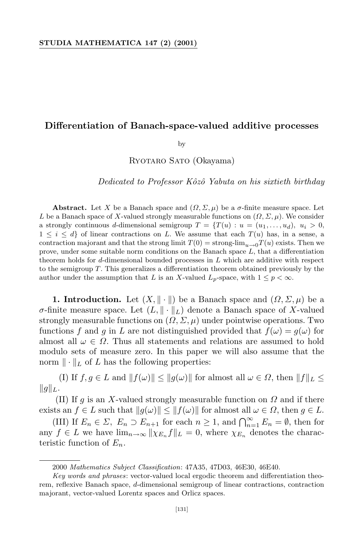# **Differentiation of Banach-space-valued additive processes**

by

Ryotaro Sato (Okayama)

*Dedicated to Professor Kˆozˆo Yabuta on his sixtieth birthday*

**Abstract.** Let *X* be a Banach space and  $(\Omega, \Sigma, \mu)$  be a  $\sigma$ -finite measure space. Let *L* be a Banach space of *X*-valued strongly measurable functions on  $(\Omega, \Sigma, \mu)$ . We consider a strongly continuous *d*-dimensional semigroup  $T = \{T(u): u = (u_1, \ldots, u_d), u_i > 0,$  $1 \leq i \leq d$  of linear contractions on L. We assume that each  $T(u)$  has, in a sense, a contraction majorant and that the strong limit  $T(0) =$  strong-lim<sub>*u*→0</sub>*T*(*u*) exists. Then we prove, under some suitable norm conditions on the Banach space *L*, that a differentiation theorem holds for *d*-dimensional bounded processes in *L* which are additive with respect to the semigroup *T*. This generalizes a differentiation theorem obtained previously by the author under the assumption that *L* is an *X*-valued  $L_p$ -space, with  $1 \leq p < \infty$ .

**1. Introduction.** Let  $(X, \|\cdot\|)$  be a Banach space and  $(\Omega, \Sigma, \mu)$  be a *σ*-finite measure space. Let  $(L, \| \cdot \|_L)$  denote a Banach space of X-valued strongly measurable functions on  $(\Omega, \Sigma, \mu)$  under pointwise operations. Two functions *f* and *q* in *L* are not distinguished provided that  $f(\omega) = g(\omega)$  for almost all  $\omega \in \Omega$ . Thus all statements and relations are assumed to hold modulo sets of measure zero. In this paper we will also assume that the norm  $\|\cdot\|_L$  of *L* has the following properties:

(I) If  $f, g \in L$  and  $||f(\omega)|| \le ||g(\omega)||$  for almost all  $\omega \in \Omega$ , then  $||f||_L \le$  $||g||_L$ .

(II) If *g* is an *X*-valued strongly measurable function on *Ω* and if there exists an  $f \in L$  such that  $||g(\omega)|| \le ||f(\omega)||$  for almost all  $\omega \in \Omega$ , then  $g \in L$ .

(III) If  $E_n \in \Sigma$ ,  $E_n \supset E_{n+1}$  for each  $n \geq 1$ , and  $\bigcap_{n=1}^{\infty} E_n = \emptyset$ , then for any  $f \in L$  we have  $\lim_{n\to\infty} ||\chi_{E_n}f||_L = 0$ , where  $\chi_{E_n}$  denotes the characteristic function of *En*.

<sup>2000</sup> *Mathematics Subject Classification*: 47A35, 47D03, 46E30, 46E40.

*Key words and phrases*: vector-valued local ergodic theorem and differentiation theorem, reflexive Banach space, *d*-dimensional semigroup of linear contractions, contraction majorant, vector-valued Lorentz spaces and Orlicz spaces.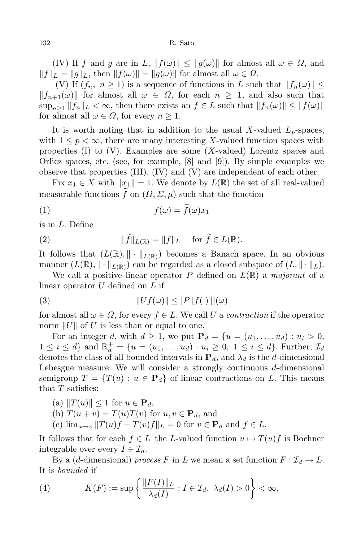(IV) If *f* and *g* are in *L*,  $||f(\omega)|| \le ||g(\omega)||$  for almost all  $\omega \in \Omega$ , and  $||f||_L = ||g||_L$ , then  $||f(\omega)|| = ||g(\omega)||$  for almost all  $\omega \in \Omega$ .

(V) If  $(f_n, n \ge 1)$  is a sequence of functions in *L* such that  $||f_n(\omega)|| \le$  $||f_{n+1}(\omega)||$  for almost all  $\omega \in \Omega$ , for each  $n \geq 1$ , and also such that  $\sup_{n>1} ||f_n||_L < \infty$ , then there exists an  $f \in L$  such that  $||f_n(\omega)|| \leq ||f(\omega)||$ for almost all  $\omega \in \Omega$ , for every  $n \geq 1$ .

It is worth noting that in addition to the usual X-valued  $L_p$ -spaces, with  $1 \leq p \leq \infty$ , there are many interesting X-valued function spaces with properties (I) to (V). Examples are some (*X*-valued) Lorentz spaces and Orlicz spaces, etc. (see, for example,  $[8]$  and  $[9]$ ). By simple examples we observe that properties (III), (IV) and (V) are independent of each other.

Fix  $x_1 \in X$  with  $||x_1|| = 1$ . We denote by  $L(\mathbb{R})$  the set of all real-valued measurable functions  $\tilde{f}$  on  $(\Omega, \Sigma, \mu)$  such that the function

$$
(1) \t\t f(\omega) = f(\omega)x_1
$$

is in *L*. Define

(2) 
$$
\|\widetilde{f}\|_{L(\mathbb{R})} = \|f\|_{L} \quad \text{for } \widetilde{f} \in L(\mathbb{R}).
$$

It follows that  $(L(\mathbb{R}), \|\cdot\|_{L(\mathbb{R})})$  becomes a Banach space. In an obvious manner  $(L(\mathbb{R}), \| \cdot \|_{L(\mathbb{R})})$  can be regarded as a closed subspace of  $(L, \| \cdot \|_{L})$ .

We call a positive linear operator P defined on  $L(\mathbb{R})$  a *majorant* of a linear operator *U* defined on *L* if

(3) 
$$
||Uf(\omega)|| \leq [P||f(\cdot)||](\omega)
$$

for almost all  $\omega \in \Omega$ , for every  $f \in L$ . We call U a *contraction* if the operator norm  $||U||$  of U is less than or equal to one.

For an integer *d*, with  $d \ge 1$ , we put  $P_d = \{u = (u_1, \ldots, u_d) : u_i > 0,$  $1 \leq i \leq d$  and  $\mathbb{R}_d^+ = \{u = (u_1, \ldots, u_d) : u_i \geq 0, 1 \leq i \leq d\}$ . Further,  $\mathcal{I}_d$ denotes the class of all bounded intervals in  $P_d$ , and  $\lambda_d$  is the *d*-dimensional Lebesgue measure. We will consider a strongly continuous *d*-dimensional semigroup  $T = \{T(u) : u \in \mathbf{P}_d\}$  of linear contractions on L. This means that *T* satisfies:

 $(x)$   $||T(u)|| \leq 1$  for  $u \in \mathbf{P}_d$ ,

(b)  $T(u + v) = T(u)T(v)$  for  $u, v \in \mathbf{P}_d$ , and

 $(c)$   $\lim_{u \to v} ||T(u)f - T(v)f||_L = 0$  for  $v \in \mathbf{P}_d$  and  $f \in L$ .

It follows that for each  $f \in L$  the *L*-valued function  $u \mapsto T(u)f$  is Bochner integrable over every  $I \in \mathcal{I}_d$ .

By a (*d*-dimensional) *process F* in *L* we mean a set function  $F: \mathcal{I}_d \to L$ . It is *bounded* if

(4) 
$$
K(F) := \sup \left\{ \frac{\|F(I)\|_L}{\lambda_d(I)} : I \in \mathcal{I}_d, \ \lambda_d(I) > 0 \right\} < \infty,
$$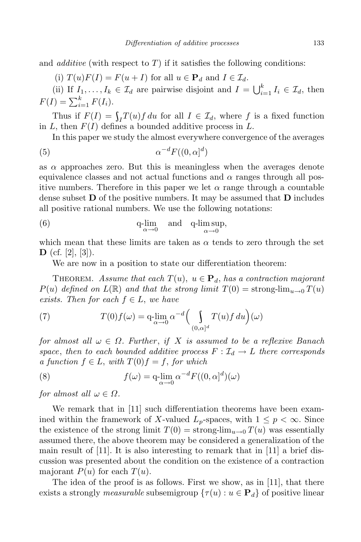and *additive* (with respect to *T*) if it satisfies the following conditions:

(i)  $T(u)F(I) = F(u+I)$  for all  $u \in \mathbf{P}_d$  and  $I \in \mathcal{I}_d$ .

(ii) If  $I_1, \ldots, I_k \in \mathcal{I}_d$  are pairwise disjoint and  $I = \bigcup_{i=1}^k I_i \in \mathcal{I}_d$ , then  $F(I) = \sum_{i=1}^{k} F(I_i).$ 

Thus if  $F(I) = \int_I T(u) f du$  for all  $I \in \mathcal{I}_d$ , where  $f$  is a fixed function in *L*, then *F*(*I*) defines a bounded additive process in *L*.

In this paper we study the almost everywhere convergence of the averages

$$
(5) \qquad \qquad \alpha^{-d} F((0,\alpha]^d)
$$

as  $\alpha$  approaches zero. But this is meaningless when the averages denote equivalence classes and not actual functions and  $\alpha$  ranges through all positive numbers. Therefore in this paper we let  $\alpha$  range through a countable dense subset **D** of the positive numbers. It may be assumed that **D** includes all positive rational numbers. We use the following notations:

(6) 
$$
q\text{-lim}_{\alpha \to 0}
$$
 and  $q\text{-lim sup}_{\alpha \to 0}$ ,

which mean that these limits are taken as  $\alpha$  tends to zero through the set **D** (cf. [2], [3]).

We are now in a position to state our differentiation theorem:

THEOREM. Assume that each  $T(u)$ ,  $u \in \mathbf{P}_d$ , has a contraction majorant  $P(u)$  *defined on*  $L(\mathbb{R})$  *and that the strong limit*  $T(0) =$  strong-lim<sub>*u*→0</sub>  $T(u)$ *exists. Then for each*  $f \in L$ *, we have* 

(7) 
$$
T(0)f(\omega) = q \lim_{\alpha \to 0} \alpha^{-d} \Big( \int_{(0,\alpha]^d} T(u)f du \Big)(\omega)
$$

*for almost all*  $\omega \in \Omega$ *. Further, if X is assumed to be a reflexive Banach space, then to each bounded additive process*  $F: \mathcal{I}_d \to L$  *there corresponds*  $a$  *function*  $f \in L$ , *with*  $T(0)f = f$ , *for which* 

(8) 
$$
f(\omega) = q \cdot \lim_{\alpha \to 0} \alpha^{-d} F((0, \alpha]^d)(\omega)
$$

*for almost all*  $\omega \in \Omega$ *.* 

We remark that in [11] such differentiation theorems have been examined within the framework of *X*-valued  $L_p$ -spaces, with  $1 \leq p < \infty$ . Since the existence of the strong limit  $T(0) =$  strong-lim<sub>*u*→0</sub>  $T(u)$  was essentially assumed there, the above theorem may be considered a generalization of the main result of  $[11]$ . It is also interesting to remark that in  $[11]$  a brief discussion was presented about the condition on the existence of a contraction majorant  $P(u)$  for each  $T(u)$ .

The idea of the proof is as follows. First we show, as in [11], that there exists a strongly *measurable* subsemigroup  $\{\tau(u): u \in \mathbf{P}_d\}$  of positive linear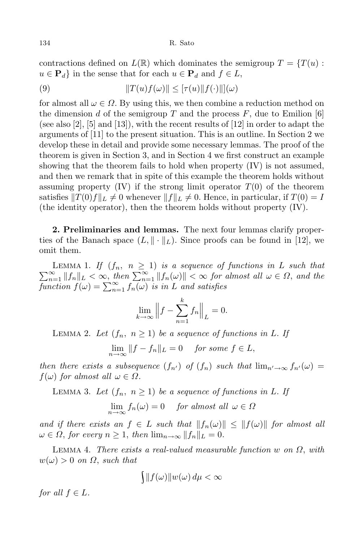contractions defined on  $L(\mathbb{R})$  which dominates the semigroup  $T = \{T(u):$  $u \in \mathbf{P}_d$  in the sense that for each  $u \in \mathbf{P}_d$  and  $f \in L$ ,

(9) 
$$
||T(u)f(\omega)|| \leq [\tau(u)||f(\cdot)||](\omega)
$$

for almost all  $\omega \in \Omega$ . By using this, we then combine a reduction method on the dimension *d* of the semigroup *T* and the process  $F$ , due to Emilion [6] (see also [2], [5] and [13]), with the recent results of [12] in order to adapt the arguments of [11] to the present situation. This is an outline. In Section 2 we develop these in detail and provide some necessary lemmas. The proof of the theorem is given in Section 3, and in Section 4 we first construct an example showing that the theorem fails to hold when property (IV) is not assumed, and then we remark that in spite of this example the theorem holds without assuming property  $(IV)$  if the strong limit operator  $T(0)$  of the theorem satisfies  $||T(0)f||_L \neq 0$  whenever  $||f||_L \neq 0$ . Hence, in particular, if  $T(0) = I$ (the identity operator), then the theorem holds without property (IV).

**2. Preliminaries and lemmas.** The next four lemmas clarify properties of the Banach space  $(L, \| \cdot \|_L)$ . Since proofs can be found in [12], we omit them.

LEMMA 1. If  $(f_n, n \ge 1)$  is a sequence of functions in L such that  $\sum_{n=1}^{\infty} ||f_n||_L < \infty$ , then  $\sum_{n=1}^{\infty} ||f_n(\omega)|| < \infty$  for almost all  $\omega \in \Omega$ , and the *function*  $f(\omega) = \sum_{n=1}^{\infty} f_n(\omega)$  *is in L and satisfies* 

$$
\lim_{k \to \infty} \left\| f - \sum_{n=1}^{k} f_n \right\|_{L} = 0.
$$

LEMMA 2. Let  $(f_n, n \geq 1)$  be a sequence of functions in L. If

 $\lim_{n\to\infty}$   $||f - f_n||_L = 0$  *for some*  $f \in L$ ,

*then there exists a subsequence*  $(f_n)$  *of*  $(f_n)$  *such that*  $\lim_{n' \to \infty} f_n(\omega) =$  $f(\omega)$  *for almost all*  $\omega \in \Omega$ *.* 

LEMMA 3. Let  $(f_n, n \geq 1)$  be a sequence of functions in L. If

 $\lim_{n \to \infty} f_n(\omega) = 0$  *for almost all*  $\omega \in \Omega$ 

and if there exists an  $f \in L$  such that  $||f_n(\omega)|| \leq ||f(\omega)||$  for almost all  $\omega \in \Omega$ , for every  $n \geq 1$ , then  $\lim_{n \to \infty} ||f_n||_L = 0$ .

Lemma 4. *There exists a real-valued measurable function w on Ω*, *with*  $w(\omega) > 0$  *on*  $\Omega$ , *such that* 

$$
\int \|f(\omega)\| w(\omega) d\mu < \infty
$$

*for all*  $f \in L$ *.*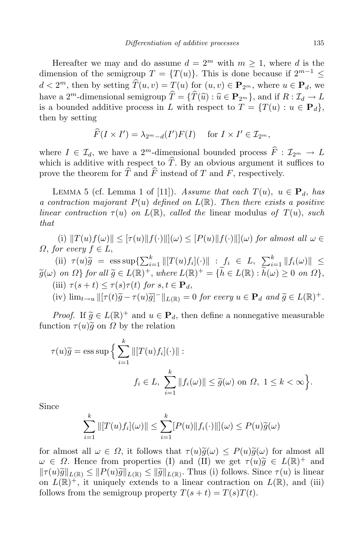Hereafter we may and do assume  $d = 2^m$  with  $m \ge 1$ , where *d* is the dimension of the semigroup  $T = \{T(u)\}\$ . This is done because if  $2^{m-1} \leq$  $d < 2^m$ , then by setting  $\overline{T}(u, v) = T(u)$  for  $(u, v) \in \mathbf{P}_{2^m}$ , where  $u \in \mathbf{P}_d$ , we have a 2<sup>*m*</sup>-dimensional semigroup  $\hat{T} = {\{\hat{T}(\hat{u}) : \hat{u} \in \mathbf{P}_{2^m}\}, \text{ and if } R : \mathcal{I}_d \to L$ is a bounded additive process in *L* with respect to  $T = \{T(u) : u \in \mathbf{P}_d\}$ , then by setting

$$
\widehat{F}(I \times I') = \lambda_{2^m - d}(I')F(I) \quad \text{ for } I \times I' \in \mathcal{I}_{2^m},
$$

where  $I \in \mathcal{I}_d$ , we have a 2<sup>*m*</sup>-dimensional bounded process  $\overline{F}$  :  $\mathcal{I}_{2^m} \to L$ which is additive with respect to  $\hat{T}$ . By an obvious argument it suffices to prove the theorem for  $\hat{T}$  and  $\hat{F}$  instead of *T* and *F*, respectively.

LEMMA 5 (cf. Lemma 1 of [11]). *Assume that each*  $T(u)$ ,  $u \in \mathbf{P}_d$ , has *a contraction majorant P*(*u*) *defined on L*(R)*. Then there exists a positive linear contraction*  $\tau(u)$  *on*  $L(\mathbb{R})$ , *called the* linear modulus *of*  $T(u)$ , *such that*

(i)  $||T(u)f(\omega)|| \leq |\tau(u)||f(\cdot)|||(\omega) \leq |P(u)||f(\cdot)|||(\omega)$  for almost all  $\omega \in$ *Ω*, *for every f* ∈ *L*,

(ii)  $\tau(u)\widetilde{g} = \operatorname{ess} \operatorname{sup}\left\{\sum_{i=1}^k ||[T(u)f_i](\cdot)|| : f_i \in L, \sum_{i=1}^k ||f_i(\omega)|| \right\}$  $\widetilde{g}(\omega)$  on  $\Omega$  for all  $\widetilde{g} \in L(\mathbb{R})^+$ , where  $L(\mathbb{R})^+ = \{\widetilde{h} \in L(\mathbb{R}) : \widetilde{h}(\omega) \geq 0$  on  $\Omega\},$  $\tau$ (iii)  $\tau$ ( $s + t$ )  $\leq \tau$ ( $s$ ) $\tau$ ( $t$ ) for  $s, t \in \mathbf{P}_d$ ,

(iv) 
$$
\lim_{t\to u} \left\| [\tau(t)\tilde{g} - \tau(u)\tilde{g}]^{-} \right\|_{L(\mathbb{R})} = 0
$$
 for every  $u \in \mathbf{P}_d$  and  $\tilde{g} \in L(\mathbb{R})^+$ .

*Proof.* If  $\tilde{g} \in L(\mathbb{R})^+$  and  $u \in \mathbf{P}_d$ , then define a nonnegative measurable function  $\tau(u) \tilde{g}$  on  $\Omega$  by the relation

$$
\tau(u)\widetilde{g} = \operatorname{ess} \operatorname{sup} \Big\{ \sum_{i=1}^{k} \left\| [T(u)f_i](\cdot) \right\| :
$$
  

$$
f_i \in L, \sum_{i=1}^{k} \left\| f_i(\omega) \right\| \le \widetilde{g}(\omega) \text{ on } \Omega, \ 1 \le k < \infty \Big\}.
$$

Since

$$
\sum_{i=1}^k \left\| [T(u)f_i](\omega) \right\| \le \sum_{i=1}^k [P(u) \| f_i(\cdot) \| ](\omega) \le P(u)\widetilde{g}(\omega)
$$

for almost all  $\omega \in \Omega$ , it follows that  $\tau(u)\tilde{g}(\omega) \leq P(u)\tilde{g}(\omega)$  for almost all  $\omega \in \Omega$ . Hence from properties (I) and (II) we get  $\tau(u)\tilde{g} \in L(\mathbb{R})^+$  and  $||\tau(u)\tilde{g}||_{\mathcal{L}} \leq ||\mathcal{D}(u)\tilde{g}||_{\mathcal{L}} \leq ||\mathcal{D}(u)\tilde{g}||_{\mathcal{L}} \leq ||\mathcal{D}(u)\tilde{g}||_{\mathcal{L}}$ . Thus, (i) follows Since  $\tau(u)$  is linear.  $||\tau(u)\widetilde{g}||_{L(\mathbb{R})} \leq ||P(u)\widetilde{g}||_{L(\mathbb{R})} \leq ||\widetilde{g}||_{L(\mathbb{R})}$ . Thus (i) follows. Since  $\tau(u)$  is linear on  $L(\mathbb{R})^+$ , it uniquely extends to a linear contraction on  $L(\mathbb{R})$ , and (iii) follows from the semigroup property  $T(s + t) = T(s)T(t)$ .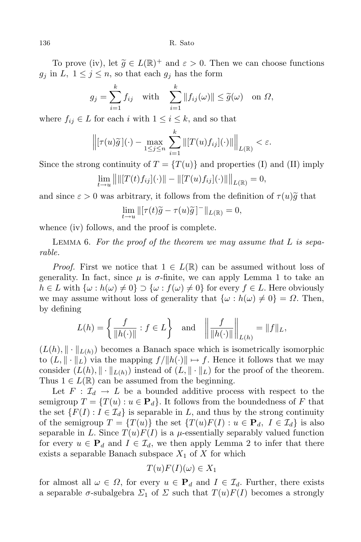136 R. Sato

To prove (iv), let  $\widetilde{g} \in L(\mathbb{R})^+$  and  $\varepsilon > 0$ . Then we can choose functions  $g_j$  in  $L$ ,  $1 \leq j \leq n$ , so that each  $g_j$  has the form

$$
g_j = \sum_{i=1}^k f_{ij} \quad \text{with} \quad \sum_{i=1}^k \|f_{ij}(\omega)\| \le \widetilde{g}(\omega) \quad \text{on } \Omega,
$$

where  $f_{ij} \in L$  for each *i* with  $1 \leq i \leq k$ , and so that

$$
\left\| [\tau(u)\widetilde{g}] (\cdot) - \max_{1 \leq j \leq n} \sum_{i=1}^k \left\| [T(u)f_{ij}] (\cdot) \right\| \right\|_{L(\mathbb{R})} < \varepsilon.
$$

Since the strong continuity of  $T = \{T(u)\}\$ and properties (I) and (II) imply

$$
\lim_{t \to u} || ||[T(t)f_{ij}](\cdot)|| - ||[T(u)f_{ij}](\cdot)||||_{L(\mathbb{R})} = 0,
$$

and since  $\varepsilon > 0$  was arbitrary, it follows from the definition of  $\tau(u)\tilde{g}$  that

$$
\lim_{t \to u} \| [\tau(t)\widetilde{g} - \tau(u)\widetilde{g}]^{-} \|_{L(\mathbb{R})} = 0,
$$

whence (iv) follows, and the proof is complete.

Lemma 6. *For the proof of the theorem we may assume that L is separable.*

*Proof.* First we notice that  $1 \in L(\mathbb{R})$  can be assumed without loss of generality. In fact, since  $\mu$  is  $\sigma$ -finite, we can apply Lemma 1 to take an  $h \in L$  with  $\{\omega : h(\omega) \neq 0\} \supset \{\omega : f(\omega) \neq 0\}$  for every  $f \in L$ . Here obviously we may assume without loss of generality that  $\{\omega : h(\omega) \neq 0\} = \Omega$ . Then, by defining

$$
L(h) = \left\{ \frac{f}{\|h(\cdot)\|} : f \in L \right\} \text{ and } \left\| \frac{f}{\|h(\cdot)\|} \right\|_{L(h)} = \|f\|_{L},
$$

 $(L(h), \|\cdot\|_{L(h)})$  becomes a Banach space which is isometrically isomorphic to  $(L, \| \cdot \|_L)$  via the mapping  $f/ \| h(\cdot) \| \mapsto f$ . Hence it follows that we may consider  $(L(h), \|\cdot\|_{L(h)})$  instead of  $(L, \|\cdot\|_{L})$  for the proof of the theorem. Thus  $1 \in L(\mathbb{R})$  can be assumed from the beginning.

Let  $F: \mathcal{I}_d \to L$  be a bounded additive process with respect to the semigroup  $T = \{T(u) : u \in \mathbf{P}_d\}$ . It follows from the boundedness of F that the set  $\{F(I): I \in \mathcal{I}_d\}$  is separable in *L*, and thus by the strong continuity of the semigroup  $T = \{T(u)\}\$ the set  $\{T(u)F(I) : u \in \mathbf{P}_d, I \in \mathcal{I}_d\}$  is also separable in *L*. Since  $T(u)F(I)$  is a  $\mu$ -essentially separably valued function for every  $u \in \mathbf{P}_d$  and  $I \in \mathcal{I}_d$ , we then apply Lemma 2 to infer that there exists a separable Banach subspace  $X_1$  of  $X$  for which

$$
T(u)F(I)(\omega) \in X_1
$$

for almost all  $\omega \in \Omega$ , for every  $u \in \mathbf{P}_d$  and  $I \in \mathcal{I}_d$ . Further, there exists a separable  $\sigma$ -subalgebra  $\Sigma_1$  of  $\Sigma$  such that  $T(u)F(I)$  becomes a strongly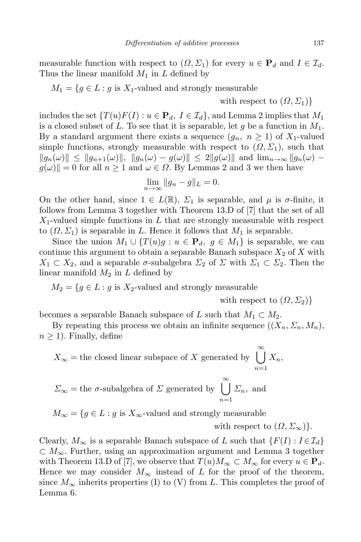measurable function with respect to  $(\Omega, \Sigma_1)$  for every  $u \in \mathbf{P}_d$  and  $I \in \mathcal{I}_d$ . Thus the linear manifold *M*<sup>1</sup> in *L* defined by

 $M_1 = \{ g \in L : g \text{ is } X_1\text{-valued and strongly measurable } \}$ 

with respect to  $(\Omega, \Sigma_1)$ 

includes the set  $\{T(u)F(I): u \in \mathbf{P}_d, I \in \mathcal{I}_d\}$ , and Lemma 2 implies that  $M_1$ is a closed subset of *L*. To see that it is separable, let *g* be a function in *M*1. By a standard argument there exists a sequence  $(g_n, n \ge 1)$  of  $X_1$ -valued simple functions, strongly measurable with respect to  $(\Omega, \Sigma_1)$ , such that  $||g_n(\omega)|| \le ||g_{n+1}(\omega)||, ||g_n(\omega) - g(\omega)|| \le 2||g(\omega)||$  and  $\lim_{n \to \infty} ||g_n(\omega) - g(\omega)||$  $g(\omega)\|=0$  for all  $n\geq 1$  and  $\omega\in\Omega$ . By Lemmas 2 and 3 we then have

$$
\lim_{n \to \infty} \|g_n - g\|_L = 0.
$$

On the other hand, since  $1 \in L(\mathbb{R})$ ,  $\Sigma_1$  is separable, and  $\mu$  is  $\sigma$ -finite, it follows from Lemma 3 together with Theorem 13.D of [7] that the set of all *X*1-valued simple functions in *L* that are strongly measurable with respect to  $(\Omega, \Sigma_1)$  is separable in *L*. Hence it follows that  $M_1$  is separable.

Since the union  $M_1 \cup \{T(u)g : u \in \mathbf{P}_d, g \in M_1\}$  is separable, we can continue this argument to obtain a separable Banach subspace  $X_2$  of  $X$  with  $X_1 \subset X_2$ , and a separable  $\sigma$ -subalgebra  $\Sigma_2$  of  $\Sigma$  with  $\Sigma_1 \subset \Sigma_2$ . Then the linear manifold  $M_2$  in  $L$  defined by

 $M_2 = \{ g \in L : g \text{ is } X_2\text{-valued and strongly measurable } \}$ 

with respect to  $(\Omega, \Sigma_2)$ }

becomes a separable Banach subspace of *L* such that  $M_1 \subset M_2$ .

By repeating this process we obtain an infinite sequence  $((X_n, \Sigma_n, M_n))$  $n \geq 1$ ). Finally, define

$$
X_{\infty}
$$
 = the closed linear subspace of X generated by  $\bigcup_{n=1}^{\infty} X_n$ ,

$$
\Sigma_{\infty}
$$
 = the  $\sigma$ -subalgebra of  $\Sigma$  generated by  $\bigcup_{n=1}^{\infty} \Sigma_n$ , and

 $M_{\infty} = \{ g \in L : g \text{ is } X_{\infty}$ -valued and strongly measurable

with respect to  $(\Omega, \Sigma_{\infty})\}.$ 

Clearly,  $M_{\infty}$  is a separable Banach subspace of *L* such that  $\{F(I): I \in \mathcal{I}_d\}$ *⊂ M∞*. Further, using an approximation argument and Lemma 3 together with Theorem 13.D of [7], we observe that  $T(u)M_{\infty} \subset M_{\infty}$  for every  $u \in \mathbf{P}_d$ . Hence we may consider  $M_{\infty}$  instead of *L* for the proof of the theorem, since  $M_{\infty}$  inherits properties (I) to (V) from L. This completes the proof of Lemma 6.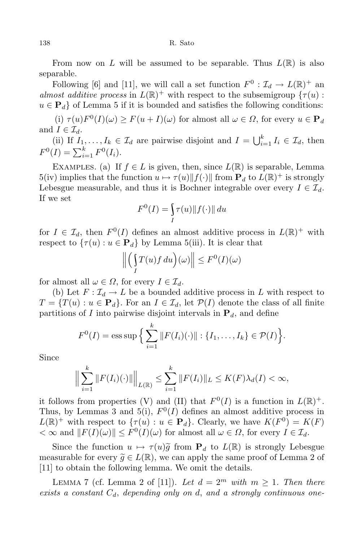#### 138 R. Sato

From now on *L* will be assumed to be separable. Thus  $L(\mathbb{R})$  is also separable.

Following [6] and [11], we will call a set function  $F^0$  :  $\mathcal{I}_d \to L(\mathbb{R})^+$  and *almost additive process* in  $L(\mathbb{R})^+$  with respect to the subsemigroup  $\{\tau(u):$  $u \in \mathbf{P}_d$  of Lemma 5 if it is bounded and satisfies the following conditions:

 $(i)$   $\tau(u)F^{0}(I)(\omega) \geq F(u+I)(\omega)$  for almost all  $\omega \in \Omega$ , for every  $u \in \mathbf{P}_{d}$ and  $I \in \mathcal{I}_d$ .

(ii) If  $I_1, \ldots, I_k \in \mathcal{I}_d$  are pairwise disjoint and  $I = \bigcup_{i=1}^k I_i \in \mathcal{I}_d$ , then  $F^0(I) = \sum_{i=1}^k F^0(I_i).$ 

EXAMPLES. (a) If  $f \in L$  is given, then, since  $L(\mathbb{R})$  is separable, Lemma  $5(iv)$  implies that the function  $u \mapsto \tau(u) ||f(\cdot)||$  from  $\mathbf{P}_d$  to  $L(\mathbb{R})^+$  is strongly Lebesgue measurable, and thus it is Bochner integrable over every  $I \in \mathcal{I}_d$ . If we set

$$
F^{0}(I) = \int_{I} \tau(u) \| f(\cdot) \| du
$$

for  $I \in \mathcal{I}_d$ , then  $F^0(I)$  defines an almost additive process in  $L(\mathbb{R})^+$  with respect to  $\{\tau(u): u \in \mathbf{P}_d\}$  by Lemma 5(iii). It is clear that

$$
\left\| \left( \int_I T(u) f \, du \right) (\omega) \right\| \le F^0(I)(\omega)
$$

for almost all  $\omega \in \Omega$ , for every  $I \in \mathcal{I}_d$ .

(b) Let  $F: \mathcal{I}_d \to L$  be a bounded additive process in L with respect to  $T = \{T(u) : u \in \mathbf{P}_d\}$ . For an  $I \in \mathcal{I}_d$ , let  $\mathcal{P}(I)$  denote the class of all finite partitions of *I* into pairwise disjoint intervals in  $P_d$ , and define

$$
F^{0}(I) = \text{ess sup }\Big\{\sum_{i=1}^{k} ||F(I_{i})(\cdot)||: \{I_{1},\ldots,I_{k}\} \in \mathcal{P}(I)\Big\}.
$$

Since

$$
\Big\| \sum_{i=1}^k \|F(I_i)(\cdot)\| \Big\|_{L(\mathbb{R})} \leq \sum_{i=1}^k \|F(I_i)\|_{L} \leq K(F)\lambda_d(I) < \infty,
$$

it follows from properties (V) and (II) that  $F^0(I)$  is a function in  $L(\mathbb{R})^+$ . Thus, by Lemmas 3 and 5(i),  $F^0(I)$  defines an almost additive process in  $L(\mathbb{R})^+$  with respect to  $\{\tau(u): u \in \mathbf{P}_d\}$ . Clearly, we have  $K(F^0) = K(F)$  $\langle \infty \rangle \propto$  and  $||F(I)(\omega)|| \leq F^0(I)(\omega)$  for almost all  $\omega \in \Omega$ , for every  $I \in \mathcal{I}_d$ .

Since the function  $u \mapsto \tau(u)\tilde{g}$  from  $\mathbf{P}_d$  to  $L(\mathbb{R})$  is strongly Lebesgue measurable for every  $\widetilde{g} \in L(\mathbb{R})$ , we can apply the same proof of Lemma 2 of [11] to obtain the following lemma. We omit the details.

LEMMA 7 (cf. Lemma 2 of [11]). Let  $d = 2^m$  with  $m \ge 1$ . Then there *exists a constant Cd*, *depending only on d*, *and a strongly continuous one-*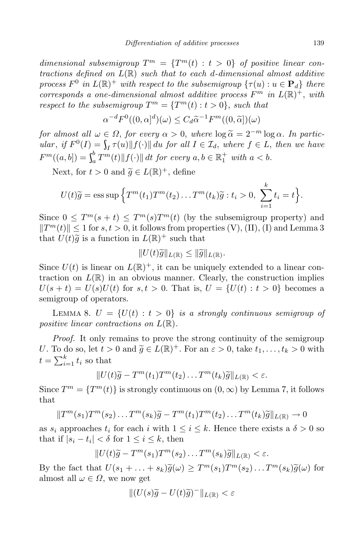*dimensional subsemigroup*  $T^m = \{T^m(t) : t > 0\}$  *of positive linear contractions defined on L*(R) *such that to each d-dimensional almost additive process*  $F^0$  *in*  $L(\mathbb{R})^+$  *with respect to the subsemigroup*  $\{\tau(u): u \in \mathbf{P}_d\}$  *there corresponds a one-dimensional almost additive process*  $F^m$  *in*  $L(\mathbb{R})^+$ , *with respect to the subsemigroup*  $T^m = \{T^m(t) : t > 0\}$ , *such that* 

$$
\alpha^{-d}F^{0}((0,\alpha)^{d})(\omega) \leq C_{d}\widetilde{\alpha}^{-1}F^{m}((0,\widetilde{\alpha}])(\omega)
$$

*for almost all*  $\omega \in \Omega$ , *for every*  $\alpha > 0$ , *where*  $\log \widetilde{\alpha} = 2^{-m} \log \alpha$ . In particular, if  $F^0(I) = \int_I \tau(u) ||f(\cdot)|| du$  for all  $I \in \mathcal{I}_d$ , where  $f \in L$ , then we have  $F^m((a, b]) = \int_a^b T^m(b)$  $\int_{a}^{b} T^{m}(t) ||f(\cdot)|| dt$  for every  $a, b \in \mathbb{R}_{1}^{+}$  with  $a < b$ .

Next, for  $t > 0$  and  $\widetilde{g} \in L(\mathbb{R})^+$ , define

$$
U(t)\widetilde{g} = \operatorname{ess} \operatorname{sup} \left\{ T^m(t_1) T^m(t_2) \dots T^m(t_k) \widetilde{g} : t_i > 0, \sum_{i=1}^k t_i = t \right\}.
$$

Since  $0 \leq T^m(s+t) \leq T^m(s)T^m(t)$  (by the subsemigroup property) and  $||T^m(t)|| \leq 1$  for *s,t* > 0, it follows from properties (V), (II), (I) and Lemma 3 that  $U(t)\tilde{g}$  is a function in  $L(\mathbb{R})^+$  such that

$$
||U(t)\widetilde{g}||_{L(\mathbb{R})}\leq ||\widetilde{g}||_{L(\mathbb{R})}.
$$

Since  $U(t)$  is linear on  $L(\mathbb{R})^+$ , it can be uniquely extended to a linear contraction on  $L(\mathbb{R})$  in an obvious manner. Clearly, the construction implies  $U(s + t) = U(s)U(t)$  for  $s, t > 0$ . That is,  $U = \{U(t) : t > 0\}$  becomes a semigroup of operators.

LEMMA 8.  $U = \{U(t) : t > 0\}$  *is a strongly continuous semigroup of positive linear contractions on L*(R)*.*

*Proof.* It only remains to prove the strong continuity of the semigroup *U*. To do so, let  $t > 0$  and  $\widetilde{g} \in L(\mathbb{R})^+$ . For an  $\varepsilon > 0$ , take  $t_1, \ldots, t_k > 0$  with  $t = \sum_{i=1}^{k} t_i$  so that

$$
||U(t)\widetilde{g} - T^m(t_1)T^m(t_2)\dots T^m(t_k)\widetilde{g}||_{L(\mathbb{R})} < \varepsilon.
$$

Since  $T^m = \{T^m(t)\}\$ is strongly continuous on  $(0, \infty)$  by Lemma 7, it follows that

$$
||T^m(s_1)T^m(s_2)\dots T^m(s_k)\widetilde{g}-T^m(t_1)T^m(t_2)\dots T^m(t_k)\widetilde{g}||_{L(\mathbb{R})}\to 0
$$

as  $s_i$  approaches  $t_i$  for each *i* with  $1 \leq i \leq k$ . Hence there exists a  $\delta > 0$  so that if  $|s_i - t_i| < \delta$  for  $1 \leq i \leq k$ , then

$$
||U(t)\widetilde{g} - T^m(s_1)T^m(s_2)\dots T^m(s_k)\widetilde{g}||_{L(\mathbb{R})} < \varepsilon.
$$

By the fact that  $U(s_1 + \ldots + s_k)\tilde{g}(\omega) \geq T^m(s_1)T^m(s_2)\ldots T^m(s_k)\tilde{g}(\omega)$  for almost all  $\omega \in \Omega$ , we now get

$$
\|(U(s)\widetilde{g} - U(t)\widetilde{g})^{-}\|_{L(\mathbb{R})} < \varepsilon
$$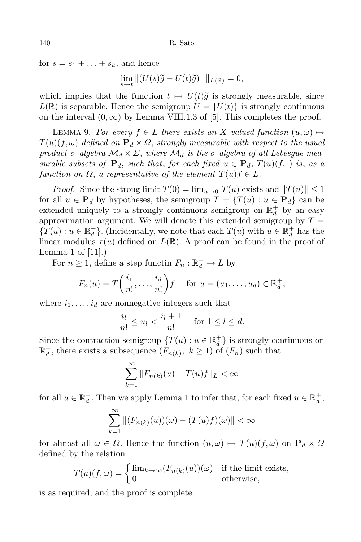for  $s = s_1 + \ldots + s_k$ , and hence

 $\lim_{s \to t} ||(U(s)\tilde{g} - U(t)\tilde{g})^{-}||_{L(\mathbb{R})} = 0,$ 

which implies that the function  $t \mapsto U(t)\tilde{g}$  is strongly measurable, since  $L(\mathbb{R})$  is separable. Hence the semigroup  $U = \{U(t)\}\$ is strongly continuous on the interval  $(0, \infty)$  by Lemma VIII.1.3 of [5]. This completes the proof.

LEMMA 9. For every  $f \in L$  there exists an X-valued function  $(u, \omega) \mapsto$  $T(u)(f, \omega)$  *defined on*  $P_d \times \Omega$ , *strongly measurable with respect to the usual product*  $\sigma$ -algebra  $\mathcal{M}_d \times \Sigma$ , where  $\mathcal{M}_d$  is the  $\sigma$ -algebra of all Lebesgue mea*surable subsets of*  $P_d$ , *such that*, *for each fixed*  $u \in P_d$ ,  $T(u)(f, \cdot)$  *is*, *as a function on*  $\Omega$ , *a representative of the element*  $T(u)f \in L$ *.* 

*Proof.* Since the strong limit  $T(0) = \lim_{u \to 0} T(u)$  exists and  $||T(u)|| \leq 1$ for all  $u \in \mathbf{P}_d$  by hypotheses, the semigroup  $T = \{T(u) : u \in \mathbf{P}_d\}$  can be extended uniquely to a strongly continuous semigroup on  $\mathbb{R}_d^+$  $d$ <sup>+</sup> by an easy approximation argument. We will denote this extended semigroup by  $T =$  ${T(u) : u \in \mathbb{R}^+_{d}}$ *d }*. (Incidentally, we note that each *T*(*u*) with *u ∈* R +  $d$ <sup> $\dagger$ </sup> has the linear modulus  $\tau(u)$  defined on  $L(\mathbb{R})$ . A proof can be found in the proof of Lemma 1 of [11].)

For  $n \geq 1$ , define a step functin  $F_n : \mathbb{R}_d^+ \to L$  by

$$
F_n(u) = T\left(\frac{i_1}{n!}, \dots, \frac{i_d}{n!}\right) f \quad \text{for } u = (u_1, \dots, u_d) \in \mathbb{R}_d^+,
$$

where  $i_1, \ldots, i_d$  are nonnegative integers such that

$$
\frac{i_l}{n!} \le u_l < \frac{i_l + 1}{n!} \quad \text{for } 1 \le l \le d.
$$

Since the contraction semigroup  ${T(u) : u \in \mathbb{R}_d^+}$  $\begin{bmatrix} + \\ d \end{bmatrix}$  is strongly continuous on  $\mathbb{R}^+_d$  $d$ <sup>+</sup>, there exists a subsequence  $(F_{n(k)}, k \ge 1)$  of  $(F_n)$  such that

$$
\sum_{k=1}^{\infty} ||F_{n(k)}(u) - T(u)f||_{L} < \infty
$$

for all  $u \in \mathbb{R}_d^+$ <sup>*d*</sup>. Then we apply Lemma 1 to infer that, for each fixed  $u \in \mathbb{R}_d^+$ *d ,*

$$
\sum_{k=1}^{\infty} \left\| (F_{n(k)}(u))(\omega) - (T(u)f)(\omega) \right\| < \infty
$$

for almost all  $\omega \in \Omega$ . Hence the function  $(u, \omega) \mapsto T(u)(f, \omega)$  on  $\mathbf{P}_d \times \Omega$ defined by the relation

$$
T(u)(f,\omega) = \begin{cases} \lim_{k \to \infty} (F_{n(k)}(u))(\omega) & \text{if the limit exists,} \\ 0 & \text{otherwise,} \end{cases}
$$

is as required, and the proof is complete.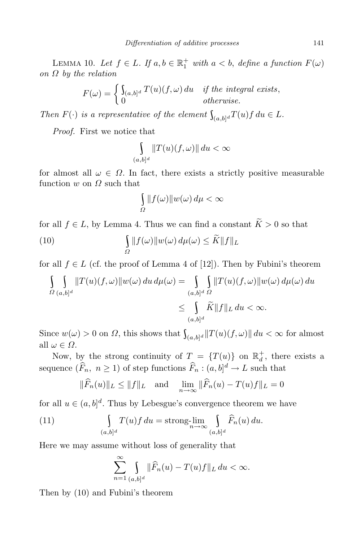LEMMA 10. *Let f* ∈ *L. If*  $a, b ∈ \mathbb{R}_1^+$  *with*  $a < b$ *, define a function*  $F(\omega)$ *on Ω by the relation*

$$
F(\omega) = \begin{cases} \int_{(a,b]^d} T(u)(f,\omega) \, du & \text{if the integral exists,} \\ 0 & \text{otherwise.} \end{cases}
$$

*Then*  $F(\cdot)$  *is a representative of the element*  $\int_{(a,b]^d} T(u) f \, du \in L$ *.* 

*Proof.* First we notice that

$$
\int\limits_{(a,b]^d} \|T(u)(f,\omega)\| \, du < \infty
$$

for almost all  $\omega \in \Omega$ . In fact, there exists a strictly positive measurable function *w* on *Ω* such that

$$
\int_{\Omega} ||f(\omega)||w(\omega) d\mu < \infty
$$

for all  $f \in L$ , by Lemma 4. Thus we can find a constant  $\widetilde{K} > 0$  so that

(10) 
$$
\int_{\Omega} ||f(\omega)||w(\omega) d\mu(\omega) \leq \widetilde{K} ||f||_{L}
$$

for all  $f \in L$  (cf. the proof of Lemma 4 of [12]). Then by Fubini's theorem

$$
\int_{\Omega} \int_{(a,b]^d} ||T(u)(f,\omega)||w(\omega) du d\mu(\omega) = \int_{(a,b]^d} \int_{\Omega} ||T(u)(f,\omega)||w(\omega) d\mu(\omega) du
$$
  

$$
\leq \int_{(a,b]^d} \widetilde{K} ||f||_L du < \infty.
$$

Since  $w(\omega) > 0$  on  $\Omega$ , this shows that  $\int_{(a,b]^d} ||T(u)(f,\omega)|| du < \infty$  for almost all *ω ∈ Ω*.

Now, by the strong continuity of  $T = \{T(u)\}\$  on  $\mathbb{R}_d^+$  $d$ <sup>+</sup>, there exists a sequence  $(F_n, n \ge 1)$  of step functions  $F_n : (a, b]^d \to L$  such that

$$
\|\widehat{F}_n(u)\|_{L} \le \|f\|_{L}
$$
 and  $\lim_{n \to \infty} \|\widehat{F}_n(u) - T(u)f\|_{L} = 0$ 

for all  $u \in (a, b]^d$ . Thus by Lebesgue's convergence theorem we have

(11) 
$$
\int_{(a,b]^d} T(u)f du = \operatorname{strong-lim}_{n \to \infty} \int_{(a,b]^d} \widehat{F}_n(u) du.
$$

Here we may assume without loss of generality that

$$
\sum_{n=1}^{\infty} \int_{(a,b]^d} \|\widehat{F}_n(u) - T(u)f\|_L \, du < \infty.
$$

Then by (10) and Fubini's theorem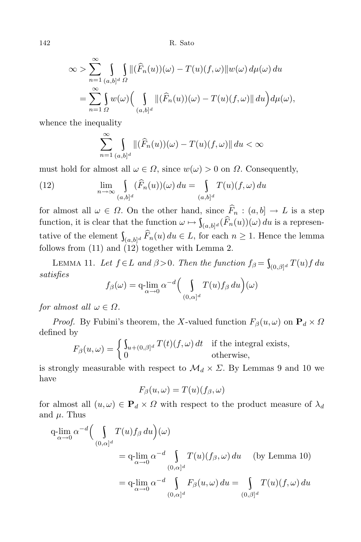142 R. Sato

$$
\infty > \sum_{n=1}^{\infty} \int_{(a,b]^d} \int_{\Omega} \| (\widehat{F}_n(u))(\omega) - T(u)(f,\omega) \| w(\omega) d\mu(\omega) du
$$
  
= 
$$
\sum_{n=1}^{\infty} \int_{\Omega} w(\omega) \Big( \int_{(a,b]^d} \| (\widehat{F}_n(u))(\omega) - T(u)(f,\omega) \| du \Big) d\mu(\omega),
$$

whence the inequality

$$
\sum_{n=1}^{\infty} \int_{(a,b]^d} \| (\widehat{F}_n(u))(\omega) - T(u)(f, \omega) \| du < \infty
$$

must hold for almost all  $\omega \in \Omega$ , since  $w(\omega) > 0$  on  $\Omega$ . Consequently,

(12) 
$$
\lim_{n \to \infty} \int_{(a,b]^d} (\widehat{F}_n(u))(\omega) du = \int_{(a,b]^d} T(u)(f, \omega) du
$$

for almost all  $\omega \in \Omega$ . On the other hand, since  $\widehat{F}_n : (a, b] \to L$  is a step function, it is clear that the function  $\omega \mapsto \int_{(a,b]^d} (F_n(u))(\omega) du$  is a representative of the element  $\int_{(a,b]^d} F_n(u) du \in L$ , for each  $n \geq 1$ . Hence the lemma follows from  $(11)$  and  $(12)$  together with Lemma 2.

LEMMA 11. Let  $f \in L$  and  $\beta > 0$ . Then the function  $f_{\beta} = \int_{(0,\beta]^d} T(u)f du$ *satisfies*

$$
f_{\beta}(\omega) = \mathop{\mathrm{q-lim}}\limits_{\alpha \to 0} \alpha^{-d} \Big( \int\limits_{(0,\alpha]^d} T(u) f_{\beta} \, du \Big)(\omega)
$$

*for almost all*  $\omega \in \Omega$ *.* 

*Proof.* By Fubini's theorem, the *X*-valued function  $F_\beta(u, \omega)$  on  $\mathbf{P}_d \times \Omega$ defined by

$$
F_{\beta}(u,\omega) = \begin{cases} \int_{u+(0,\beta]^d} T(t)(f,\omega) dt & \text{if the integral exists,} \\ 0 & \text{otherwise,} \end{cases}
$$

is strongly measurable with respect to  $\mathcal{M}_d \times \Sigma$ . By Lemmas 9 and 10 we have

$$
F_{\beta}(u,\omega)=T(u)(f_{\beta},\omega)
$$

for almost all  $(u, \omega) \in \mathbf{P}_d \times \Omega$  with respect to the product measure of  $\lambda_d$ and *µ*. Thus

$$
q\lim_{\alpha \to 0} \alpha^{-d} \Big( \int_{(0,\alpha]^d} T(u) f_{\beta} du \Big) (\omega)
$$
  
=  $q\lim_{\alpha \to 0} \alpha^{-d} \int_{(0,\alpha]^d} T(u) (f_{\beta}, \omega) du$  (by Lemma 10)  
=  $q\lim_{\alpha \to 0} \alpha^{-d} \int_{(0,\alpha]^d} F_{\beta}(u,\omega) du = \int_{(0,\beta]^d} T(u) (f, \omega) du$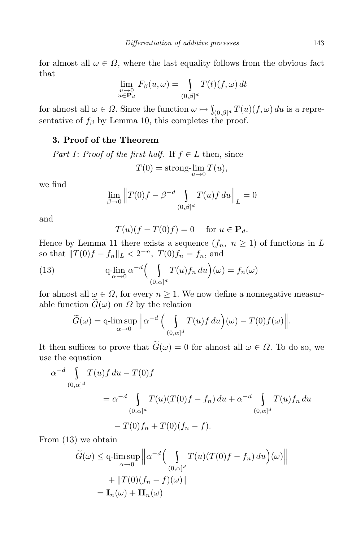for almost all  $\omega \in \Omega$ , where the last equality follows from the obvious fact that

$$
\lim_{\substack{u \to 0 \\ u \in \mathbf{P}_d}} F_\beta(u, \omega) = \int_{(0,\beta]^d} T(t)(f, \omega) dt
$$

for almost all  $\omega \in \Omega$ . Since the function  $\omega \mapsto \int_{(0,\beta]^d} T(u)(f,\omega) du$  is a representative of  $f_\beta$  by Lemma 10, this completes the proof.

## **3. Proof of the Theorem**

*Part I*: *Proof of the first half*. If  $f \in L$  then, since

$$
T(0) = \operatorname{strong-}\lim_{u \to 0} T(u),
$$

we find

$$
\lim_{\beta \to 0} \|T(0)f - \beta^{-d} \int_{(0,\beta]^d} T(u)f \, du \|_{L} = 0
$$

and

$$
T(u)(f - T(0)f) = 0 \quad \text{for } u \in \mathbf{P}_d.
$$

Hence by Lemma 11 there exists a sequence  $(f_n, n \ge 1)$  of functions in *L* so that  $||T(0)f - f_n||_L < 2^{-n}$ ,  $T(0)f_n = f_n$ , and

(13) 
$$
q\lim_{\alpha \to 0} \alpha^{-d} \Big( \int_{(0,\alpha]^d} T(u) f_n \, du \Big)(\omega) = f_n(\omega)
$$

for almost all  $\omega \in \Omega$ , for every  $n \geq 1$ . We now define a nonnegative measurable function  $\tilde{G}(\omega)$  on  $\Omega$  by the relation

$$
\widetilde{G}(\omega) = \mathop{\text{q-lim sup}}_{\alpha \to 0} \left\| \alpha^{-d} \Big( \int_{(0,\alpha]^d} T(u)f \, du \Big) (\omega) - T(0)f(\omega) \right\|.
$$

It then suffices to prove that  $\widetilde{G}(\omega) = 0$  for almost all  $\omega \in \Omega$ . To do so, we use the equation

$$
\alpha^{-d} \int_{(0,\alpha]^d} T(u)f du - T(0)f
$$
  
=  $\alpha^{-d} \int_{(0,\alpha]^d} T(u)(T(0)f - f_n) du + \alpha^{-d} \int_{(0,\alpha]^d} T(u)f_n du$   
-  $T(0)f_n + T(0)(f_n - f).$ 

From (13) we obtain

$$
\widetilde{G}(\omega) \le \mathbf{q}\text{-}\limsup_{\alpha \to 0} \left\| \alpha^{-d} \Big( \int_{(0,\alpha]^d} T(u)(T(0)f - f_n) du \Big) (\omega) \right\|
$$

$$
+ \|T(0)(f_n - f)(\omega)\|
$$

$$
= \mathbf{I}_n(\omega) + \mathbf{II}_n(\omega)
$$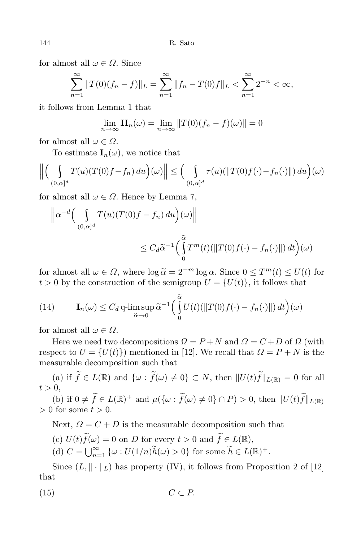for almost all  $\omega \in \Omega$ . Since

$$
\sum_{n=1}^{\infty} ||T(0)(f_n - f)||_L = \sum_{n=1}^{\infty} ||f_n - T(0)f||_L < \sum_{n=1}^{\infty} 2^{-n} < \infty,
$$

it follows from Lemma 1 that

$$
\lim_{n \to \infty} \mathbf{II}_n(\omega) = \lim_{n \to \infty} ||T(0)(f_n - f)(\omega)|| = 0
$$

for almost all  $\omega \in \Omega$ .

To estimate  $I_n(\omega)$ , we notice that

$$
\left\| \left( \int_{(0,\alpha]^d} T(u)(T(0)f - f_n) du \right) (\omega) \right\| \le \left( \int_{(0,\alpha]^d} \tau(u)(\|T(0)f(\cdot) - f_n(\cdot)\|) du \right) (\omega)
$$

for almost all  $\omega \in \Omega$ . Hence by Lemma 7,

$$
\|\alpha^{-d}\Big(\int_{(0,\alpha]^d}T(u)(T(0)f - f_n) du\Big)(\omega)\|
$$
  

$$
\leq C_d\widetilde{\alpha}^{-1}\Big(\int_0^{\widetilde{\alpha}}T^m(t)(\|T(0)f(\cdot) - f_n(\cdot)\|) dt\Big)(\omega)
$$

for almost all  $\omega \in \Omega$ , where  $\log \tilde{\alpha} = 2^{-m} \log \alpha$ . Since  $0 \leq T^m(t) \leq U(t)$  for  $t > 0$  by the construction of the semigroup  $U = \{U(t)\}\text{, it follows that}$ 

(14) 
$$
\mathbf{I}_n(\omega) \leq C_d \, \text{q-lim} \sup_{\widetilde{\alpha} \to 0} \widetilde{\alpha}^{-1} \Big( \int_0^{\widetilde{\alpha}} U(t) (\|T(0)f(\cdot) - f_n(\cdot) \|) \, dt \Big) (\omega)
$$

for almost all  $\omega \in \Omega$ .

Here we need two decompositions  $\Omega = P + N$  and  $\Omega = C + D$  of  $\Omega$  (with respect to  $U = \{U(t)\}\)$  mentioned in [12]. We recall that  $\Omega = P + N$  is the measurable decomposition such that

(a) if  $\widetilde{f} \in L(\mathbb{R})$  and  $\{\omega : \widetilde{f}(\omega) \neq 0\} \subset N$ , then  $||U(t)\widetilde{f}||_{L(\mathbb{R})} = 0$  for all  $t > 0$ ,

 $f(\mathbf{b})$  if  $0 \neq \hat{f} \in L(\mathbb{R})^+$  and  $\mu({\omega : \hat{f}(\omega) \neq 0} \cap P) > 0$ , then  $||U(t)\hat{f}||_{L(\mathbb{R})}$ *>* 0 for some *t >* 0.

Next,  $\Omega = C + D$  is the measurable decomposition such that

- (c)  $U(t)\tilde{f}(\omega) = 0$  on *D* for every  $t > 0$  and  $\tilde{f} \in L(\mathbb{R}),$
- $(C = \bigcup_{n=1}^{\infty} {\{\omega : U(1/n)\tilde{h}(\omega) > 0\}}$  for some  $\tilde{h} \in L(\mathbb{R})^+$ .

Since  $(L, \|\cdot\|_L)$  has property  $(IV)$ , it follows from Proposition 2 of [12] that

$$
(15) \t C \subset P.
$$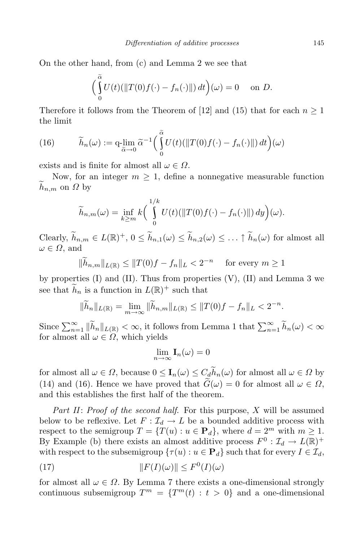On the other hand, from (c) and Lemma 2 we see that

$$
\left(\int_{0}^{\tilde{\alpha}} U(t)(\|T(0)f(\cdot)-f_n(\cdot)\|) dt\right)(\omega) = 0 \quad \text{on } D.
$$

Therefore it follows from the Theorem of [12] and (15) that for each  $n \geq 1$ the limit

(16) 
$$
\widetilde{h}_n(\omega) := \mathop{\mathrm{q-lim}}_{\widetilde{\alpha}\to 0} \widetilde{\alpha}^{-1} \Big( \int_0^{\widetilde{\alpha}} U(t) (\|T(0)f(\cdot) - f_n(\cdot)\|) dt \Big) (\omega)
$$

exists and is finite for almost all  $\omega \in \Omega$ .

Now, for an integer  $m \geq 1$ , define a nonnegative measurable function  $h_{n,m}$  on *Ω* by

$$
\widetilde{h}_{n,m}(\omega) = \inf_{k \ge m} k \bigg( \int_0^{1/k} U(t) (\|T(0)f(\cdot) - f_n(\cdot)\|) dy \bigg)(\omega).
$$

Clearly,  $h_{n,m} \in L(\mathbb{R})^+$ ,  $0 \le h_{n,1}(\omega) \le h_{n,2}(\omega) \le \ldots \uparrow h_n(\omega)$  for almost all  $\omega \in \Omega$ , and

$$
\|\widetilde{h}_{n,m}\|_{L(\mathbb{R})} \le \|T(0)f - f_n\|_{L} < 2^{-n} \quad \text{for every } m \ge 1
$$

by properties  $(I)$  and  $(II)$ . Thus from properties  $(V)$ ,  $(II)$  and Lemma 3 we see that  $\tilde{h}_n$  is a function in  $L(\mathbb{R})^+$  such that

$$
\|\widetilde{h}_n\|_{L(\mathbb{R})} = \lim_{m \to \infty} \|\widetilde{h}_{n,m}\|_{L(\mathbb{R})} \le \|T(0)f - f_n\|_{L} < 2^{-n}.
$$

Since  $\sum_{n=1}^{\infty} \|\tilde{h}_n\|_{L(\mathbb{R})} < \infty$ , it follows from Lemma 1 that  $\sum_{n=1}^{\infty} \tilde{h}_n(\omega) < \infty$ for almost all  $\omega \in \Omega$ , which yields

$$
\lim_{n\to\infty} \mathbf{I}_n(\omega) = 0
$$

for almost all  $\omega \in \Omega$ , because  $0 \leq I_n(\omega) \leq C_d h_n(\omega)$  for almost all  $\omega \in \Omega$  by (14) and (16). Hence we have proved that  $G(\omega) = 0$  for almost all  $\omega \in \Omega$ , and this establishes the first half of the theorem.

*Part II*: *Proof of the second half*. For this purpose, *X* will be assumed below to be reflexive. Let  $F: \mathcal{I}_d \to L$  be a bounded additive process with respect to the semigroup  $T = \{T(u) : u \in \mathbf{P}_d\}$ , where  $d = 2^m$  with  $m \geq 1$ . By Example (b) there exists an almost additive process  $F^0$  :  $\mathcal{I}_d \to L(\mathbb{R})^+$ with respect to the subsemigroup  $\{\tau(u): u \in \mathbf{P}_d\}$  such that for every  $I \in \mathcal{I}_d$ ,

(17) 
$$
||F(I)(\omega)|| \leq F^0(I)(\omega)
$$

for almost all  $\omega \in \Omega$ . By Lemma 7 there exists a one-dimensional strongly continuous subsemigroup  $T^m = \{T^m(t) : t > 0\}$  and a one-dimensional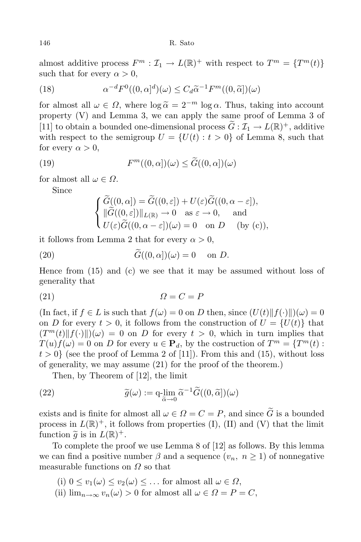almost additive process  $F^m : \mathcal{I}_1 \to L(\mathbb{R})^+$  with respect to  $T^m = \{T^m(t)\}$ such that for every  $\alpha > 0$ ,

(18) 
$$
\alpha^{-d} F^{0}((0, \alpha)^{d})(\omega) \leq C_{d} \widetilde{\alpha}^{-1} F^{m}((0, \widetilde{\alpha}])(\omega)
$$

for almost all  $\omega \in \Omega$ , where  $\log \tilde{\alpha} = 2^{-m} \log \alpha$ . Thus, taking into account property (V) and Lemma 3, we can apply the same proof of Lemma 3 of [11] to obtain a bounded one-dimensional process  $G : \mathcal{I}_1 \to L(\mathbb{R})^+$ , additive with respect to the semigroup  $U = \{U(t) : t > 0\}$  of Lemma 8, such that for every  $\alpha > 0$ ,

(19) 
$$
F^m((0,\alpha])(\omega) \leq \widetilde{G}((0,\alpha])(\omega)
$$

for almost all  $\omega \in \Omega$ .

Since

$$
\begin{cases} \widetilde{G}((0,\alpha]) = \widetilde{G}((0,\varepsilon]) + U(\varepsilon)\widetilde{G}((0,\alpha-\varepsilon]), \\ \|\widetilde{G}((0,\varepsilon])\|_{L(\mathbb{R})} \to 0 \quad \text{as } \varepsilon \to 0, \quad \text{and} \\ U(\varepsilon)\widetilde{G}((0,\alpha-\varepsilon])(\omega) = 0 \quad \text{on } D \quad \text{(by (c))}, \end{cases}
$$

it follows from Lemma 2 that for every  $\alpha > 0$ ,

(20) 
$$
G((0, \alpha])(\omega) = 0 \text{ on } D.
$$

Hence from (15) and (c) we see that it may be assumed without loss of generality that

$$
(21) \t\t\t \t\t\t \Omega = C = P
$$

(In fact, if  $f \in L$  is such that  $f(\omega) = 0$  on D then, since  $(U(t) \| f(\cdot) \|)(\omega) = 0$ on *D* for every  $t > 0$ , it follows from the construction of  $U = \{U(t)\}\$ that  $(T^m(t) || f(\cdot) ||)(\omega) = 0$  on *D* for every  $t > 0$ , which in turn implies that  $T(u) f(\omega) = 0$  on *D* for every  $u \in \mathbf{P}_d$ , by the costruction of  $T^m = \{T^m(t) :$  $t > 0$ } (see the proof of Lemma 2 of [11]). From this and (15), without loss of generality, we may assume (21) for the proof of the theorem.)

Then, by Theorem of [12], the limit

(22) 
$$
\widetilde{g}(\omega) := \mathbf{q} \cdot \lim_{\widetilde{\alpha} \to 0} \widetilde{\alpha}^{-1} \widetilde{G}((0, \widetilde{\alpha}])(\omega)
$$

exists and is finite for almost all  $\omega \in \Omega = C = P$ , and since  $\tilde{G}$  is a bounded process in  $L(\mathbb{R})^+$ , it follows from properties (I), (II) and (V) that the limit function  $\widetilde{g}$  is in  $L(\mathbb{R})^+$ .

To complete the proof we use Lemma 8 of [12] as follows. By this lemma we can find a positive number  $\beta$  and a sequence  $(v_n, n \ge 1)$  of nonnegative measurable functions on *Ω* so that

- $(i)$   $0 \le v_1(\omega) \le v_2(\omega) \le \ldots$  for almost all  $\omega \in \Omega$ ,
- (ii)  $\lim_{n\to\infty} v_n(\omega) > 0$  for almost all  $\omega \in \Omega = P = C$ ,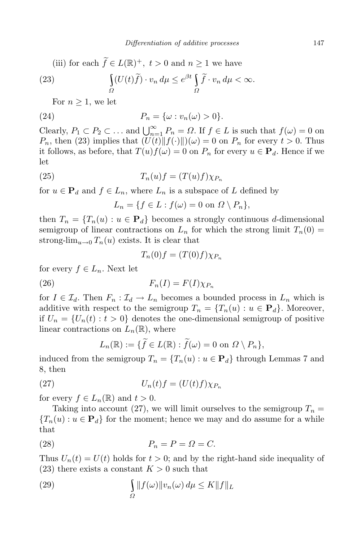(iii) for each  $f \in L(\mathbb{R})^+$ ,  $t > 0$  and  $n \ge 1$  we have

(23) 
$$
\int_{\Omega} (U(t)\tilde{f}) \cdot v_n d\mu \leq e^{\beta t} \int_{\Omega} \tilde{f} \cdot v_n d\mu < \infty.
$$

For  $n \geq 1$ , we let

(24) 
$$
P_n = \{\omega : v_n(\omega) > 0\}.
$$

Clearly,  $P_1 \subset P_2 \subset \ldots$  and  $\bigcup_{n=1}^{\infty} P_n = \Omega$ . If  $f \in L$  is such that  $f(\omega) = 0$  on *P<sub>n</sub>*, then (23) implies that  $(U(t)$ *k* $f(\cdot)$ *k* $)(\omega) = 0$  on *P<sub>n</sub>* for every  $t > 0$ . Thus it follows, as before, that  $T(u)f(\omega) = 0$  on  $P_n$  for every  $u \in \mathbf{P}_d$ . Hence if we let

(25) 
$$
T_n(u)f = (T(u)f)\chi_{P_n}
$$

for  $u \in \mathbf{P}_d$  and  $f \in L_n$ , where  $L_n$  is a subspace of  $L$  defined by

 $L_n = \{f \in L : f(\omega) = 0 \text{ on } \Omega \setminus P_n\},\$ 

then  $T_n = \{T_n(u) : u \in \mathbf{P}_d\}$  becomes a strongly continuous *d*-dimensional semigroup of linear contractions on  $L_n$  for which the strong limit  $T_n(0)$ strong-lim<sub>*u*→0</sub>  $T_n(u)$  exists. It is clear that

$$
T_n(0)f = (T(0)f)\chi_{P_n}
$$

for every  $f \in L_n$ . Next let

$$
F_n(I) = F(I)\chi_{P_n}
$$

for  $I \in \mathcal{I}_d$ . Then  $F_n : \mathcal{I}_d \to L_n$  becomes a bounded process in  $L_n$  which is additive with respect to the semigroup  $T_n = \{T_n(u) : u \in \mathbf{P}_d\}$ . Moreover, if  $U_n = \{U_n(t) : t > 0\}$  denotes the one-dimensional semigroup of positive linear contractions on  $L_n(\mathbb{R})$ , where

$$
L_n(\mathbb{R}) := \{ \widetilde{f} \in L(\mathbb{R}) : \widetilde{f}(\omega) = 0 \text{ on } \Omega \setminus P_n \},
$$

induced from the semigroup  $T_n = \{T_n(u) : u \in \mathbf{P}_d\}$  through Lemmas 7 and 8, then

(27) 
$$
U_n(t)f = (U(t)f)\chi_{P_n}
$$

for every  $f \in L_n(\mathbb{R})$  and  $t > 0$ .

Taking into account (27), we will limit ourselves to the semigroup  $T_n =$  ${T_n(u) : u \in \mathbf{P}_d}$  for the moment; hence we may and do assume for a while that

$$
(28) \t\t P_n = P = \Omega = C.
$$

Thus  $U_n(t) = U(t)$  holds for  $t > 0$ ; and by the right-hand side inequality of  $(23)$  there exists a constant  $K > 0$  such that

(29) 
$$
\int_{\Omega} ||f(\omega)||v_n(\omega) d\mu \leq K ||f||_L
$$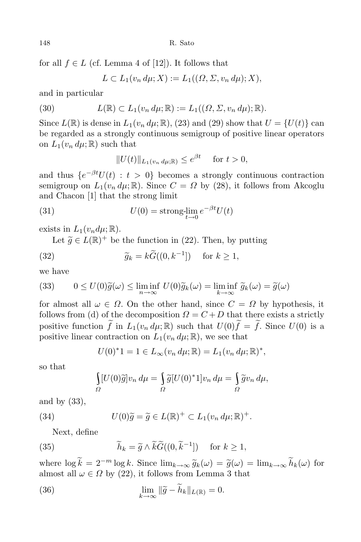for all  $f \in L$  (cf. Lemma 4 of [12]). It follows that

$$
L \subset L_1(v_n d\mu; X) := L_1((\Omega, \Sigma, v_n d\mu); X),
$$

and in particular

(30) 
$$
L(\mathbb{R}) \subset L_1(v_n d\mu; \mathbb{R}) := L_1((\Omega, \Sigma, v_n d\mu); \mathbb{R}).
$$

Since  $L(\mathbb{R})$  is dense in  $L_1(v_n, d\mu; \mathbb{R})$ , (23) and (29) show that  $U = \{U(t)\}$  can be regarded as a strongly continuous semigroup of positive linear operators on  $L_1(v_n \, d\mu; \mathbb{R})$  such that

$$
||U(t)||_{L_1(v_n d\mu;\mathbb{R})} \le e^{\beta t} \quad \text{for } t > 0,
$$

and thus  $\{e^{-\beta t}U(t) : t > 0\}$  becomes a strongly continuous contraction semigroup on  $L_1(v_n \, d\mu; \mathbb{R})$ . Since  $C = \Omega$  by (28), it follows from Akcoglu and Chacon [1] that the strong limit

(31) 
$$
U(0) = \text{strong-}\lim_{t \to 0} e^{-\beta t} U(t)
$$

exists in  $L_1(v_n d\mu; \mathbb{R})$ .

Let  $\widetilde{g} \in L(\mathbb{R})^+$  be the function in (22). Then, by putting

(32) 
$$
\widetilde{g}_k = k\widetilde{G}((0,k^{-1}]) \quad \text{for } k \ge 1,
$$

we have

(33) 
$$
0 \le U(0)\tilde{g}(\omega) \le \liminf_{n \to \infty} U(0)\tilde{g}_k(\omega) = \liminf_{k \to \infty} \tilde{g}_k(\omega) = \tilde{g}(\omega)
$$

for almost all  $\omega \in \Omega$ . On the other hand, since  $C = \Omega$  by hypothesis, it follows from (d) of the decomposition  $Q = C + D$  that there exists a strictly positive function  $\tilde{f}$  in  $L_1(v_n, d\mu; \mathbb{R})$  such that  $U(0)\tilde{f} = \tilde{f}$ . Since  $U(0)$  is a positive linear contraction on  $L_1(v_n \, d\mu; \mathbb{R})$ , we see that

$$
U(0)^{*}1 = 1 \in L_{\infty}(v_n d\mu; \mathbb{R}) = L_1(v_n d\mu; \mathbb{R})^{*},
$$

so that

$$
\int_{\Omega} [U(0)\tilde{g}]v_n d\mu = \int_{\Omega} \tilde{g}[U(0)^*1]v_n d\mu = \int_{\Omega} \tilde{g}v_n d\mu,
$$

and by (33),

(34) 
$$
U(0)\widetilde{g} = \widetilde{g} \in L(\mathbb{R})^+ \subset L_1(v_n \, d\mu; \mathbb{R})^+.
$$

Next, define

(35) 
$$
\widetilde{h}_k = \widetilde{g} \wedge \widetilde{k}\widetilde{G}((0,\widetilde{k}^{-1}]) \quad \text{for } k \ge 1,
$$

where  $\log \tilde{k} = 2^{-m} \log k$ . Since  $\lim_{k \to \infty} \tilde{g}_k(\omega) = \tilde{g}(\omega) = \lim_{k \to \infty} \tilde{h}_k(\omega)$  for almost all  $\omega \in \Omega$  by (22), it follows from Lemma 3 that

(36) 
$$
\lim_{k \to \infty} \|\widetilde{g} - \widetilde{h}_k\|_{L(\mathbb{R})} = 0.
$$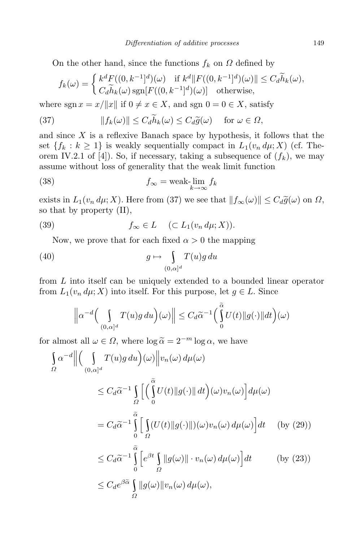On the other hand, since the functions  $f_k$  on  $\Omega$  defined by

$$
f_k(\omega) = \begin{cases} k^d F((0, k^{-1}]^d)(\omega) & \text{if } k^d || F((0, k^{-1}]^d)(\omega) || \le C_d \widetilde{h}_k(\omega), \\ C_d \widetilde{h}_k(\omega) \operatorname{sgn}[F((0, k^{-1}]^d)(\omega)] & \text{otherwise,} \end{cases}
$$

where  $\text{sgn } x = x/||x||$  if  $0 \neq x \in X$ , and  $\text{sgn } 0 = 0 \in X$ , satisfy

(37) 
$$
||f_k(\omega)|| \leq C_d \widetilde{h}_k(\omega) \leq C_d \widetilde{g}(\omega) \quad \text{for } \omega \in \Omega,
$$

and since *X* is a reflexive Banach space by hypothesis, it follows that the set  ${f_k : k \ge 1}$  is weakly sequentially compact in  $L_1(v_n d\mu; X)$  (cf. Theorem IV.2.1 of [4]). So, if necessary, taking a subsequence of  $(f_k)$ , we may assume without loss of generality that the weak limit function

(38) 
$$
f_{\infty} = \text{weak-}\lim_{k \to \infty} f_k
$$

exists in  $L_1(v_n \, d\mu; X)$ . Here from (37) we see that  $||f_\infty(\omega)|| \leq C_d \tilde{g}(\omega)$  on  $\Omega$ , so that by property (II),

(39) 
$$
f_{\infty} \in L \quad (\subset L_1(v_n \, d\mu; X)).
$$

Now, we prove that for each fixed  $\alpha > 0$  the mapping

(40) 
$$
g \mapsto \int_{(0,\alpha]^d} T(u)g \, du
$$

from *L* into itself can be uniquely extended to a bounded linear operator from  $L_1(v_n d\mu; X)$  into itself. For this purpose, let  $g \in L$ . Since

$$
\left\|\alpha^{-d}\Big(\int\limits_{(0,\alpha]^d}T(u)g\,du\Big)(\omega)\right\|\leq C_d\widetilde{\alpha}^{-1}\Big(\int\limits_0^{\widetilde{\alpha}}U(t)\|g(\cdot)\|dt\Big)(\omega)
$$

for almost all  $\omega \in \Omega$ , where  $\log \tilde{\alpha} = 2^{-m} \log \alpha$ , we have

$$
\int_{\Omega} \alpha^{-d} \left\| \left( \int_{(0,\alpha]^d} T(u)g \, du \right) (\omega) \right\| v_n(\omega) \, d\mu(\omega)
$$
\n
$$
\leq C_d \widetilde{\alpha}^{-1} \int_{\Omega} \left[ \left( \int_0^{\widetilde{\alpha}} U(t) \| g(\cdot) \| \, dt \right) (\omega) v_n(\omega) \right] d\mu(\omega)
$$
\n
$$
= C_d \widetilde{\alpha}^{-1} \int_0^{\widetilde{\alpha}} \left[ \int_{\Omega} (U(t) \| g(\cdot) \|)(\omega) v_n(\omega) \, d\mu(\omega) \right] dt \quad \text{(by (29))}
$$
\n
$$
\leq C_d \widetilde{\alpha}^{-1} \int_0^{\widetilde{\alpha}} \left[ e^{\beta t} \int_{\Omega} \| g(\omega) \| \cdot v_n(\omega) \, d\mu(\omega) \right] dt \quad \text{(by (23))}
$$
\n
$$
\leq C_d e^{\beta \widetilde{\alpha}} \int_{\Omega} \| g(\omega) \| v_n(\omega) \, d\mu(\omega),
$$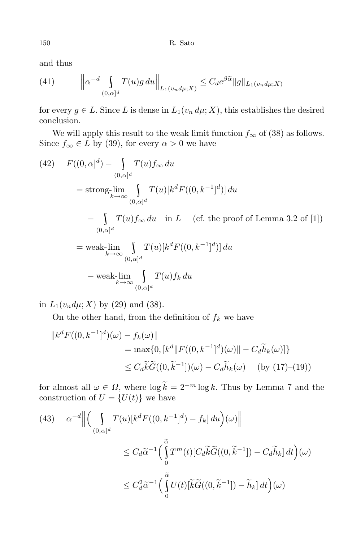150 R. Sato

and thus

(41) 
$$
\left\|\alpha^{-d}\int_{(0,\alpha]^d}T(u)g\,du\right\|_{L_1(v_n d\mu;X)} \leq C_d e^{\beta\tilde{\alpha}}\|g\|_{L_1(v_n d\mu;X)}
$$

for every  $g \in L$ . Since *L* is dense in  $L_1(v_n \, d\mu; X)$ , this establishes the desired conclusion.

We will apply this result to the weak limit function  $f_{\infty}$  of (38) as follows. Since  $f_{\infty} \in L$  by (39), for every  $\alpha > 0$  we have

(42) 
$$
F((0, \alpha)^d) - \int_{(0, \alpha)^d} T(u) f_{\infty} du
$$
  
\n
$$
= \operatorname{strong-lim}_{k \to \infty} \int_{(0, \alpha)^d} T(u)[k^d F((0, k^{-1})^d)] du
$$
  
\n
$$
- \int_{(0, \alpha)^d} T(u) f_{\infty} du \text{ in } L \quad \text{(cf. the proof of Lemma 3.2 of [1])}
$$
  
\n
$$
= \operatorname{weak-lim}_{k \to \infty} \int_{(0, \alpha)^d} T(u)[k^d F((0, k^{-1})^d)] du
$$
  
\n
$$
- \operatorname{weak-lim}_{k \to \infty} \int_{(0, \alpha)^d} T(u) f_k du
$$

in  $L_1(v_n d\mu; X)$  by (29) and (38).

On the other hand, from the definition of  $f_k$  we have

$$
||k^d F((0, k^{-1}]^d)(\omega) - f_k(\omega)||
$$
  
= max{0,  $[k^d || F((0, k^{-1}]^d)(\omega)|| - C_d \tilde{h}_k(\omega)]$ }  
 $\leq C_d \tilde{k} \tilde{G}((0, \tilde{k}^{-1}])(\omega) - C_d \tilde{h}_k(\omega)$  (by (17)–(19))

for almost all  $\omega \in \Omega$ , where  $\log k = 2^{-m} \log k$ . Thus by Lemma 7 and the construction of  $U = \{U(t)\}\$ we have

(43) 
$$
\alpha^{-d} \Big\| \Big( \int_{(0,\alpha)^d} T(u) [k^d F((0,k^{-1}]^d) - f_k] du \Big) (\omega) \Big\|
$$
  

$$
\leq C_d \widetilde{\alpha}^{-1} \Big( \int_0^{\widetilde{\alpha}} T^m(t) [C_d \widetilde{k} \widetilde{G}((0,\widetilde{k}^{-1}]) - C_d \widetilde{h}_k] dt \Big) (\omega)
$$
  

$$
\leq C_d^2 \widetilde{\alpha}^{-1} \Big( \int_0^{\widetilde{\alpha}} U(t) [\widetilde{k} \widetilde{G}((0,\widetilde{k}^{-1}]) - \widetilde{h}_k] dt \Big) (\omega)
$$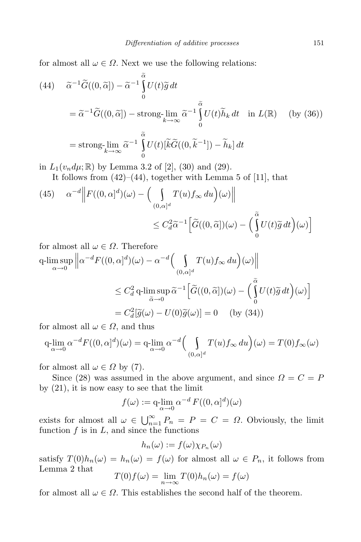for almost all  $\omega \in \Omega$ . Next we use the following relations:

(44) 
$$
\widetilde{\alpha}^{-1}\widetilde{G}((0,\widetilde{\alpha})) - \widetilde{\alpha}^{-1}\int_{0}^{\widetilde{\alpha}}U(t)\widetilde{g} dt
$$
  
\n
$$
= \widetilde{\alpha}^{-1}\widetilde{G}((0,\widetilde{\alpha})) - \operatorname{strong-}\lim_{k \to \infty} \widetilde{\alpha}^{-1}\int_{0}^{\widetilde{\alpha}}U(t)\widetilde{h}_{k} dt \text{ in } L(\mathbb{R}) \quad \text{(by (36))}
$$
  
\n
$$
= \operatorname{strong-}\lim_{k \to \infty} \widetilde{\alpha}^{-1}\int_{0}^{\widetilde{\alpha}}U(t)[\widetilde{k}\widetilde{G}((0,\widetilde{k}^{-1}]) - \widetilde{h}_{k}] dt
$$

in  $L_1(v_n d\mu; \mathbb{R})$  by Lemma 3.2 of [2], (30) and (29).

It follows from  $(42)$ – $(44)$ , together with Lemma 5 of [11], that

(45) 
$$
\alpha^{-d} \Big\| F((0, \alpha)^d)(\omega) - \Big( \int_{(0, \alpha)^d} T(u) f_{\infty} du \Big)(\omega) \Big\|
$$
  

$$
\leq C_d^2 \widetilde{\alpha}^{-1} \Big[ \widetilde{G}((0, \widetilde{\alpha}]) (\omega) - \Big( \int_0^{\widetilde{\alpha}} U(t) \widetilde{g} dt \Big)(\omega) \Big]
$$

for almost all  $\omega \in \Omega$ . Therefore q-lim sup *α→*0  $\left\| \alpha^{-d} F((0, \alpha]^d)(\omega) - \alpha^{-d} \right\|_{\infty} \leq T(n)$  $\int_{(0,\alpha]^d} T(u) f_\infty \, du \bigg)(\omega)$  $\leq C_d^2$  q-lim sup  $\max_{\widetilde{\alpha}\to 0} \widetilde{\alpha}^{-1} \left[ \widetilde{G}((0,\widetilde{\alpha}])(\omega) - \right]$  $\int_{0}^{\tilde{\alpha}}U(t)z$  $\int\limits_0^\infty U(t)\widetilde{g}\,dt\Big)(\omega)\Big]$  $=C_d^2[\tilde{g}(\omega) - U(0)\tilde{g}(\omega)] = 0$  (by (34))

for almost all  $\omega \in \Omega$ , and thus

$$
q\lim_{\alpha \to 0} \alpha^{-d} F((0, \alpha]^d)(\omega) = q\lim_{\alpha \to 0} \alpha^{-d} \left( \int_{(0, \alpha]^d} T(u) f_{\infty} \, du \right)(\omega) = T(0) f_{\infty}(\omega)
$$

for almost all  $\omega \in \Omega$  by (7).

Since (28) was assumed in the above argument, and since  $\Omega = C = P$ by (21), it is now easy to see that the limit

$$
f(\omega) := \mathop{\rm q-lim}_{\alpha \to 0} \alpha^{-d} F((0, \alpha]^d)(\omega)
$$

exists for almost all  $\omega \in \bigcup_{n=1}^{\infty} P_n = P = C = \Omega$ . Obviously, the limit function  $f$  is in  $L$ , and since the functions

$$
h_n(\omega) := f(\omega) \chi_{P_n}(\omega)
$$

satisfy  $T(0)h_n(\omega) = h_n(\omega) = f(\omega)$  for almost all  $\omega \in P_n$ , it follows from Lemma 2 that

$$
T(0)f(\omega) = \lim_{n \to \infty} T(0)h_n(\omega) = f(\omega)
$$

for almost all  $\omega \in \Omega$ . This establishes the second half of the theorem.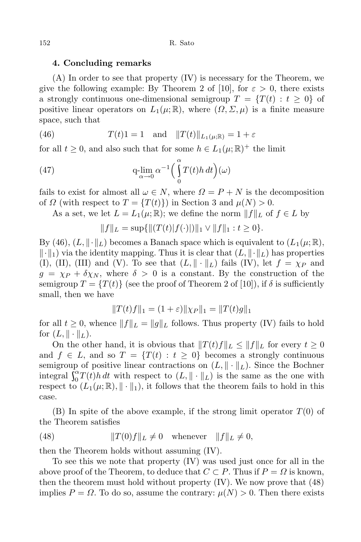### **4. Concluding remarks**

(A) In order to see that property (IV) is necessary for the Theorem, we give the following example: By Theorem 2 of [10], for  $\varepsilon > 0$ , there exists a strongly continuous one-dimensional semigroup  $T = \{T(t) : t \geq 0\}$  of positive linear operators on  $L_1(\mu;\mathbb{R})$ , where  $(\Omega,\Sigma,\mu)$  is a finite measure space, such that

(46) 
$$
T(t)1 = 1
$$
 and  $||T(t)||_{L_1(\mu;\mathbb{R})} = 1 + \varepsilon$ 

for all  $t \geq 0$ , and also such that for some  $h \in L_1(\mu;\mathbb{R})^+$  the limit

(47) 
$$
q\lim_{\alpha \to 0} \alpha^{-1} \left( \int_{0}^{\alpha} T(t)h \, dt \right) (\omega)
$$

fails to exist for almost all  $\omega \in N$ , where  $\Omega = P + N$  is the decomposition of *Ω* (with respect to  $T = {T(t)}$ ) in Section 3 and  $\mu(N) > 0$ .

As a set, we let  $L = L_1(\mu;\mathbb{R})$ ; we define the norm  $||f||_L$  of  $f \in L$  by

$$
||f||_L = \sup\{||(T(t)|f(\cdot))||_1 \vee ||f||_1 : t \ge 0\}.
$$

By (46),  $(L, \|\cdot\|_L)$  becomes a Banach space which is equivalent to  $(L_1(\mu; \mathbb{R}),$  $\|\cdot\|_1$  via the identity mapping. Thus it is clear that  $(L, \|\cdot\|_L)$  has properties (I), (II), (III) and (V). To see that  $(L, \|\cdot\|_L)$  fails (IV), let  $f = \chi_P$  and  $g = \chi_P + \delta \chi_N$ , where  $\delta > 0$  is a constant. By the construction of the semigroup  $T = \{T(t)\}\$  (see the proof of Theorem 2 of [10]), if  $\delta$  is sufficiently small, then we have

$$
||T(t)f||_1 = (1+\varepsilon)||\chi_P||_1 = ||T(t)g||_1
$$

for all  $t \geq 0$ , whence  $||f||_L = ||g||_L$  follows. Thus property (IV) fails to hold for  $(L, \|\cdot\|_L)$ .

On the other hand, it is obvious that  $||T(t)f||_L \leq ||f||_L$  for every  $t \geq 0$ and  $f \in L$ , and so  $T = \{T(t) : t \geq 0\}$  becomes a strongly continuous semigroup of positive linear contractions on  $(L, \|\cdot\|_L)$ . Since the Bochner integral  $\int_0^{\alpha} T(t)$  ${}_{0}^{\alpha}T(t)h dt$  with respect to  $(L, \|\cdot\|_L)$  is the same as the one with respect to  $(L_1(\mu;\mathbb{R}),\|\cdot\|_1)$ , it follows that the theorem fails to hold in this case.

(B) In spite of the above example, if the strong limit operator *T*(0) of the Theorem satisfies

(48) 
$$
||T(0)f||_L \neq 0 \quad \text{whenever} \quad ||f||_L \neq 0,
$$

then the Theorem holds without assuming (IV).

To see this we note that property (IV) was used just once for all in the above proof of the Theorem, to deduce that  $C \subset P$ . Thus if  $P = \Omega$  is known, then the theorem must hold without property (IV). We now prove that (48) implies  $P = \Omega$ . To do so, assume the contrary:  $\mu(N) > 0$ . Then there exists